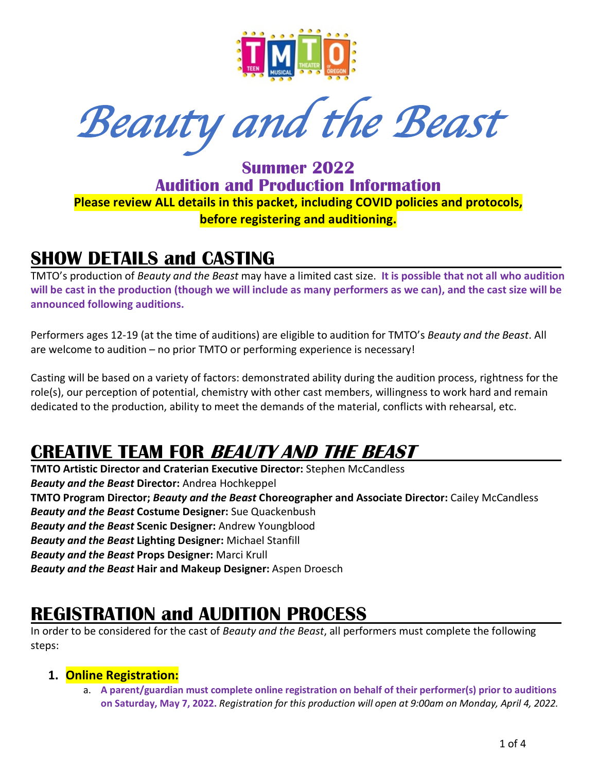

*Beauty and the Beast* 

**Summer 2022 Audition and Production Information Please review ALL details in this packet, including COVID policies and protocols, before registering and auditioning.**

### **SHOW DETAILS and CASTING**

TMTO's production of *Beauty and the Beast* may have a limited cast size. **It is possible that not all who audition will be cast in the production (though we will include as many performers as we can), and the cast size will be announced following auditions.** 

Performers ages 12-19 (at the time of auditions) are eligible to audition for TMTO's *Beauty and the Beast*. All are welcome to audition – no prior TMTO or performing experience is necessary!

Casting will be based on a variety of factors: demonstrated ability during the audition process, rightness for the role(s), our perception of potential, chemistry with other cast members, willingness to work hard and remain dedicated to the production, ability to meet the demands of the material, conflicts with rehearsal, etc.

# **CREATIVE TEAM FOR BEAUTY AND THE BEAST**

**TMTO Artistic Director and Craterian Executive Director:** Stephen McCandless *Beauty and the Beast* **Director:** Andrea Hochkeppel **TMTO Program Director;** *Beauty and the Beast* **Choreographer and Associate Director:** Cailey McCandless *Beauty and the Beast* **Costume Designer:** Sue Quackenbush *Beauty and the Beast* **Scenic Designer:** Andrew Youngblood *Beauty and the Beast* **Lighting Designer:** Michael Stanfill *Beauty and the Beast* **Props Designer:** Marci Krull *Beauty and the Beast* **Hair and Makeup Designer:** Aspen Droesch

## **REGISTRATION and AUDITION PROCESS**

In order to be considered for the cast of *Beauty and the Beast*, all performers must complete the following steps:

#### **1. Online Registration:**

a. **A parent/guardian must complete online registration on behalf of their performer(s) prior to auditions on Saturday, May 7, 2022.** *Registration for this production will open at 9:00am on Monday, April 4, 2022.*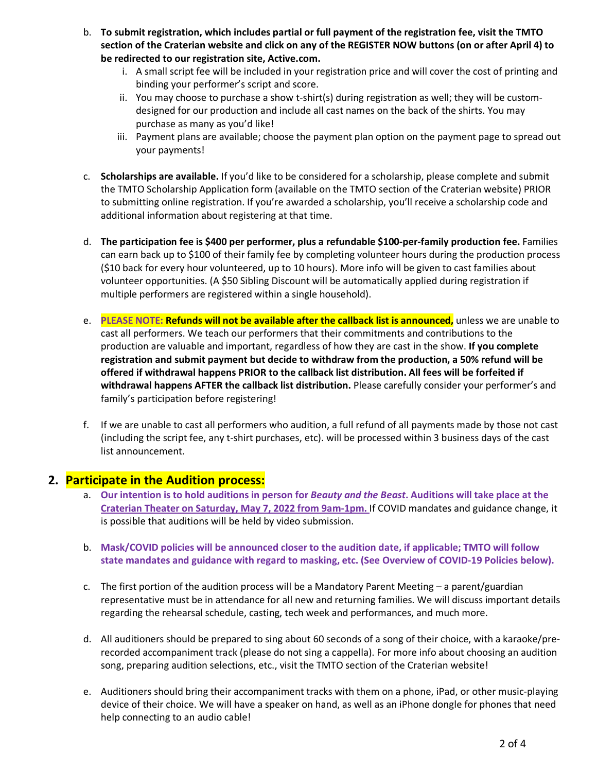- b. **To submit registration, which includes partial or full payment of the registration fee, visit the TMTO section of the Craterian website and click on any of the REGISTER NOW buttons (on or after April 4) to be redirected to our registration site, Active.com.**
	- i. A small script fee will be included in your registration price and will cover the cost of printing and binding your performer's script and score.
	- ii. You may choose to purchase a show t-shirt(s) during registration as well; they will be customdesigned for our production and include all cast names on the back of the shirts. You may purchase as many as you'd like!
	- iii. Payment plans are available; choose the payment plan option on the payment page to spread out your payments!
- c. **Scholarships are available.** If you'd like to be considered for a scholarship, please complete and submit the TMTO Scholarship Application form (available on the TMTO section of the Craterian website) PRIOR to submitting online registration. If you're awarded a scholarship, you'll receive a scholarship code and additional information about registering at that time.
- d. **The participation fee is \$400 per performer, plus a refundable \$100-per-family production fee.** Families can earn back up to \$100 of their family fee by completing volunteer hours during the production process (\$10 back for every hour volunteered, up to 10 hours). More info will be given to cast families about volunteer opportunities. (A \$50 Sibling Discount will be automatically applied during registration if multiple performers are registered within a single household).
- e. **PLEASE NOTE: Refunds will not be available after the callback list is announced,** unless we are unable to cast all performers. We teach our performers that their commitments and contributions to the production are valuable and important, regardless of how they are cast in the show. **If you complete registration and submit payment but decide to withdraw from the production, a 50% refund will be offered if withdrawal happens PRIOR to the callback list distribution. All fees will be forfeited if withdrawal happens AFTER the callback list distribution.** Please carefully consider your performer's and family's participation before registering!
- f. If we are unable to cast all performers who audition, a full refund of all payments made by those not cast (including the script fee, any t-shirt purchases, etc). will be processed within 3 business days of the cast list announcement.

#### **2. Participate in the Audition process:**

- a. **Our intention is to hold auditions in person for** *Beauty and the Beast***. Auditions will take place at the Craterian Theater on Saturday, May 7, 2022 from 9am-1pm.** If COVID mandates and guidance change, it is possible that auditions will be held by video submission.
- b. **Mask/COVID policies will be announced closer to the audition date, if applicable; TMTO will follow state mandates and guidance with regard to masking, etc. (See Overview of COVID-19 Policies below).**
- c. The first portion of the audition process will be a Mandatory Parent Meeting a parent/guardian representative must be in attendance for all new and returning families. We will discuss important details regarding the rehearsal schedule, casting, tech week and performances, and much more.
- d. All auditioners should be prepared to sing about 60 seconds of a song of their choice, with a karaoke/prerecorded accompaniment track (please do not sing a cappella). For more info about choosing an audition song, preparing audition selections, etc., visit the TMTO section of the Craterian website!
- e. Auditioners should bring their accompaniment tracks with them on a phone, iPad, or other music-playing device of their choice. We will have a speaker on hand, as well as an iPhone dongle for phones that need help connecting to an audio cable!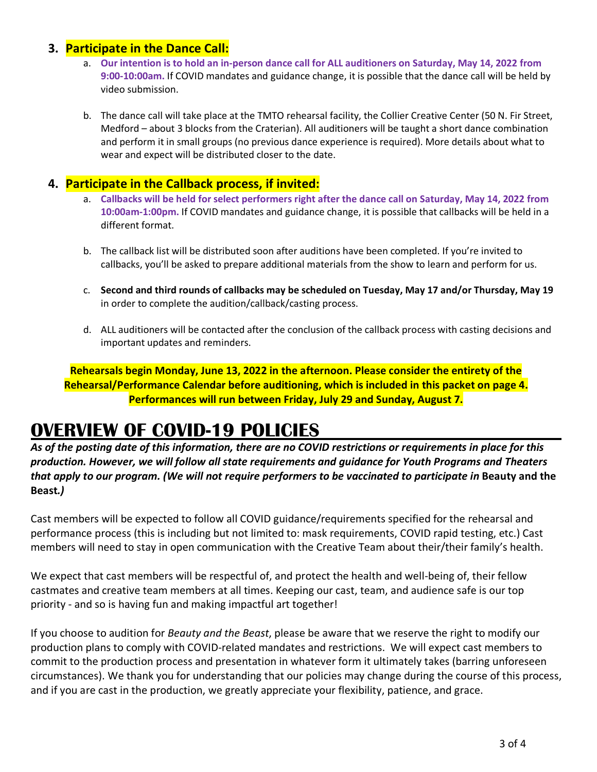#### **3. Participate in the Dance Call:**

- a. **Our intention is to hold an in-person dance call for ALL auditioners on Saturday, May 14, 2022 from 9:00-10:00am.** If COVID mandates and guidance change, it is possible that the dance call will be held by video submission.
- b. The dance call will take place at the TMTO rehearsal facility, the Collier Creative Center (50 N. Fir Street, Medford – about 3 blocks from the Craterian). All auditioners will be taught a short dance combination and perform it in small groups (no previous dance experience is required). More details about what to wear and expect will be distributed closer to the date.

#### **4. Participate in the Callback process, if invited:**

- a. **Callbacks will be held for select performers right after the dance call on Saturday, May 14, 2022 from 10:00am-1:00pm.** If COVID mandates and guidance change, it is possible that callbacks will be held in a different format.
- b. The callback list will be distributed soon after auditions have been completed. If you're invited to callbacks, you'll be asked to prepare additional materials from the show to learn and perform for us.
- c. **Second and third rounds of callbacks may be scheduled on Tuesday, May 17 and/or Thursday, May 19** in order to complete the audition/callback/casting process.
- d. ALL auditioners will be contacted after the conclusion of the callback process with casting decisions and important updates and reminders.

**Rehearsals begin Monday, June 13, 2022 in the afternoon. Please consider the entirety of the Rehearsal/Performance Calendar before auditioning, which is included in this packet on page 4. Performances will run between Friday, July 29 and Sunday, August 7.**

## **OVERVIEW OF COVID-19 POLICIES**

*As of the posting date of this information, there are no COVID restrictions or requirements in place for this production. However, we will follow all state requirements and guidance for Youth Programs and Theaters that apply to our program. (We will not require performers to be vaccinated to participate in Beauty and the* **Beast***.)*

Cast members will be expected to follow all COVID guidance/requirements specified for the rehearsal and performance process (this is including but not limited to: mask requirements, COVID rapid testing, etc.) Cast members will need to stay in open communication with the Creative Team about their/their family's health.

We expect that cast members will be respectful of, and protect the health and well-being of, their fellow castmates and creative team members at all times. Keeping our cast, team, and audience safe is our top priority - and so is having fun and making impactful art together!

If you choose to audition for *Beauty and the Beast*, please be aware that we reserve the right to modify our production plans to comply with COVID-related mandates and restrictions. We will expect cast members to commit to the production process and presentation in whatever form it ultimately takes (barring unforeseen circumstances). We thank you for understanding that our policies may change during the course of this process, and if you are cast in the production, we greatly appreciate your flexibility, patience, and grace.